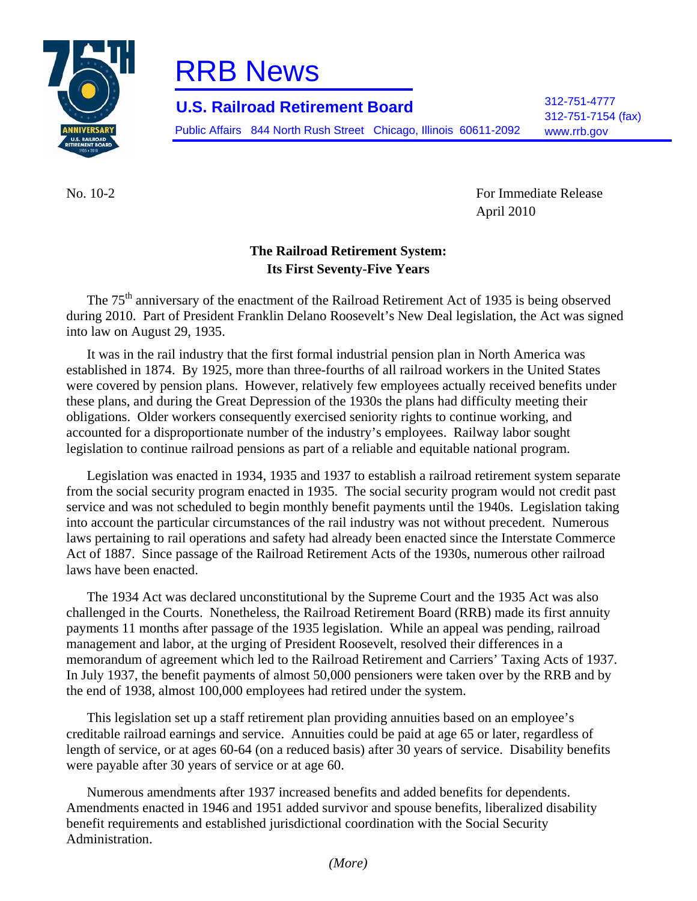

## RRB News

312-751-4777 **U.S. Railroad Retirement Board** 312-751-7154 (fax)

Public Affairs 844 North Rush Street Chicago, Illinois 60611-2092 www.rrb.gov

No. 10-2 For Immediate Release April 2010

## **The Railroad Retirement System: Its First Seventy-Five Years**

The 75<sup>th</sup> anniversary of the enactment of the Railroad Retirement Act of 1935 is being observed during 2010. Part of President Franklin Delano Roosevelt's New Deal legislation, the Act was signed into law on August 29, 1935.

It was in the rail industry that the first formal industrial pension plan in North America was established in 1874. By 1925, more than three-fourths of all railroad workers in the United States were covered by pension plans. However, relatively few employees actually received benefits under these plans, and during the Great Depression of the 1930s the plans had difficulty meeting their obligations. Older workers consequently exercised seniority rights to continue working, and accounted for a disproportionate number of the industry's employees. Railway labor sought legislation to continue railroad pensions as part of a reliable and equitable national program.

Legislation was enacted in 1934, 1935 and 1937 to establish a railroad retirement system separate from the social security program enacted in 1935. The social security program would not credit past service and was not scheduled to begin monthly benefit payments until the 1940s. Legislation taking into account the particular circumstances of the rail industry was not without precedent. Numerous laws pertaining to rail operations and safety had already been enacted since the Interstate Commerce Act of 1887. Since passage of the Railroad Retirement Acts of the 1930s, numerous other railroad laws have been enacted.

The 1934 Act was declared unconstitutional by the Supreme Court and the 1935 Act was also challenged in the Courts. Nonetheless, the Railroad Retirement Board (RRB) made its first annuity payments 11 months after passage of the 1935 legislation. While an appeal was pending, railroad management and labor, at the urging of President Roosevelt, resolved their differences in a memorandum of agreement which led to the Railroad Retirement and Carriers' Taxing Acts of 1937. In July 1937, the benefit payments of almost 50,000 pensioners were taken over by the RRB and by the end of 1938, almost 100,000 employees had retired under the system.

This legislation set up a staff retirement plan providing annuities based on an employee's creditable railroad earnings and service. Annuities could be paid at age 65 or later, regardless of length of service, or at ages 60-64 (on a reduced basis) after 30 years of service. Disability benefits were payable after 30 years of service or at age 60.

Numerous amendments after 1937 increased benefits and added benefits for dependents. Amendments enacted in 1946 and 1951 added survivor and spouse benefits, liberalized disability benefit requirements and established jurisdictional coordination with the Social Security Administration.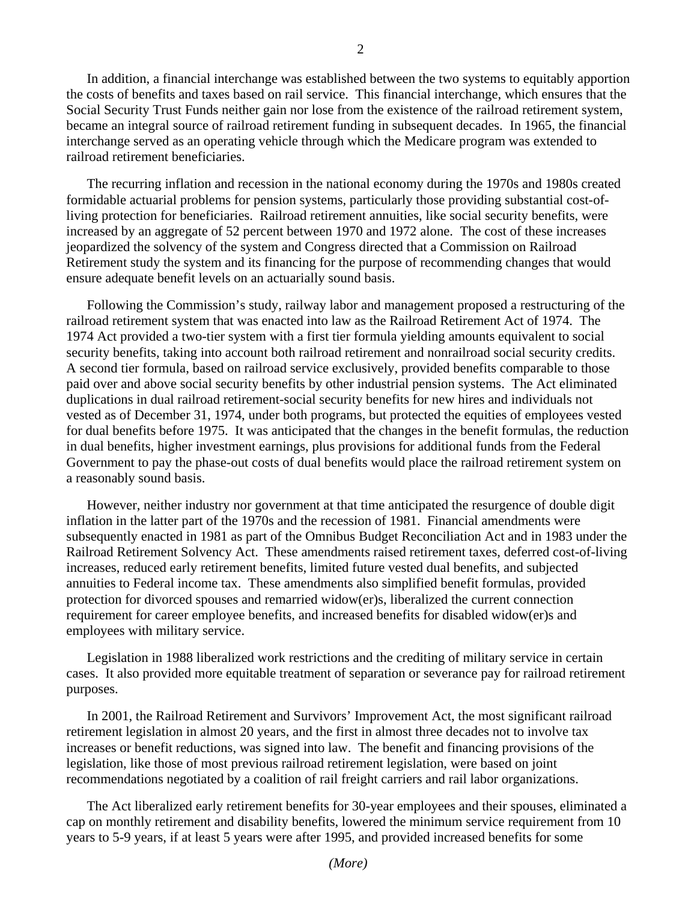In addition, a financial interchange was established between the two systems to equitably apportion the costs of benefits and taxes based on rail service. This financial interchange, which ensures that the Social Security Trust Funds neither gain nor lose from the existence of the railroad retirement system, became an integral source of railroad retirement funding in subsequent decades. In 1965, the financial interchange served as an operating vehicle through which the Medicare program was extended to railroad retirement beneficiaries.

The recurring inflation and recession in the national economy during the 1970s and 1980s created formidable actuarial problems for pension systems, particularly those providing substantial cost-ofliving protection for beneficiaries. Railroad retirement annuities, like social security benefits, were increased by an aggregate of 52 percent between 1970 and 1972 alone. The cost of these increases jeopardized the solvency of the system and Congress directed that a Commission on Railroad Retirement study the system and its financing for the purpose of recommending changes that would ensure adequate benefit levels on an actuarially sound basis.

Following the Commission's study, railway labor and management proposed a restructuring of the railroad retirement system that was enacted into law as the Railroad Retirement Act of 1974. The 1974 Act provided a two-tier system with a first tier formula yielding amounts equivalent to social security benefits, taking into account both railroad retirement and nonrailroad social security credits. A second tier formula, based on railroad service exclusively, provided benefits comparable to those paid over and above social security benefits by other industrial pension systems. The Act eliminated duplications in dual railroad retirement-social security benefits for new hires and individuals not vested as of December 31, 1974, under both programs, but protected the equities of employees vested for dual benefits before 1975. It was anticipated that the changes in the benefit formulas, the reduction in dual benefits, higher investment earnings, plus provisions for additional funds from the Federal Government to pay the phase-out costs of dual benefits would place the railroad retirement system on a reasonably sound basis.

However, neither industry nor government at that time anticipated the resurgence of double digit inflation in the latter part of the 1970s and the recession of 1981. Financial amendments were subsequently enacted in 1981 as part of the Omnibus Budget Reconciliation Act and in 1983 under the Railroad Retirement Solvency Act. These amendments raised retirement taxes, deferred cost-of-living increases, reduced early retirement benefits, limited future vested dual benefits, and subjected annuities to Federal income tax. These amendments also simplified benefit formulas, provided protection for divorced spouses and remarried widow(er)s, liberalized the current connection requirement for career employee benefits, and increased benefits for disabled widow(er)s and employees with military service.

Legislation in 1988 liberalized work restrictions and the crediting of military service in certain cases. It also provided more equitable treatment of separation or severance pay for railroad retirement purposes.

In 2001, the Railroad Retirement and Survivors' Improvement Act, the most significant railroad retirement legislation in almost 20 years, and the first in almost three decades not to involve tax increases or benefit reductions, was signed into law. The benefit and financing provisions of the legislation, like those of most previous railroad retirement legislation, were based on joint recommendations negotiated by a coalition of rail freight carriers and rail labor organizations.

The Act liberalized early retirement benefits for 30-year employees and their spouses, eliminated a cap on monthly retirement and disability benefits, lowered the minimum service requirement from 10 years to 5-9 years, if at least 5 years were after 1995, and provided increased benefits for some

*(More)*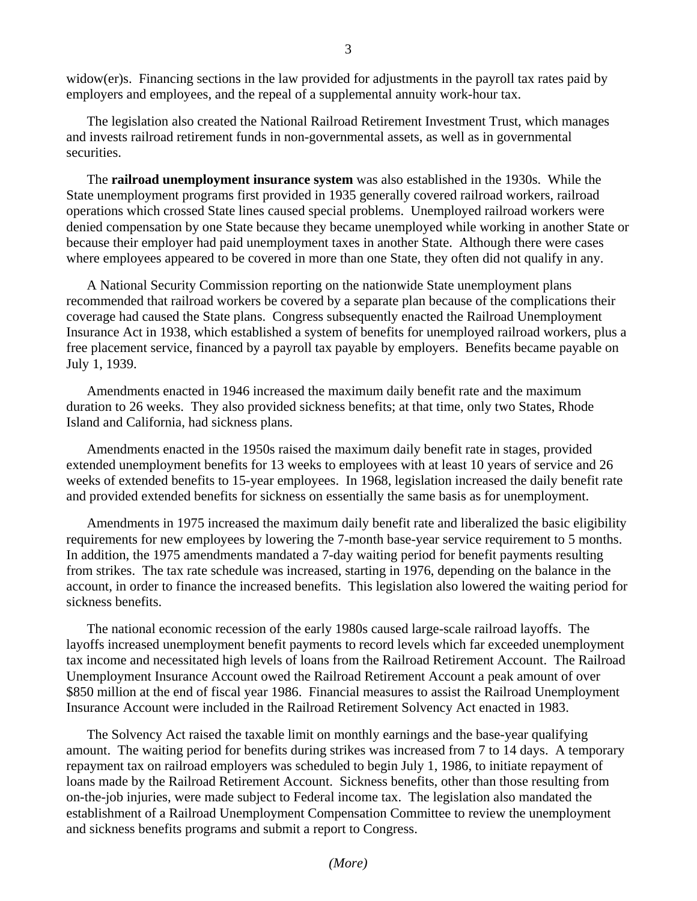widow(er)s. Financing sections in the law provided for adjustments in the payroll tax rates paid by employers and employees, and the repeal of a supplemental annuity work-hour tax.

The legislation also created the National Railroad Retirement Investment Trust, which manages and invests railroad retirement funds in non-governmental assets, as well as in governmental securities.

The **railroad unemployment insurance system** was also established in the 1930s. While the State unemployment programs first provided in 1935 generally covered railroad workers, railroad operations which crossed State lines caused special problems. Unemployed railroad workers were denied compensation by one State because they became unemployed while working in another State or because their employer had paid unemployment taxes in another State. Although there were cases where employees appeared to be covered in more than one State, they often did not qualify in any.

A National Security Commission reporting on the nationwide State unemployment plans recommended that railroad workers be covered by a separate plan because of the complications their coverage had caused the State plans. Congress subsequently enacted the Railroad Unemployment Insurance Act in 1938, which established a system of benefits for unemployed railroad workers, plus a free placement service, financed by a payroll tax payable by employers. Benefits became payable on July 1, 1939.

Amendments enacted in 1946 increased the maximum daily benefit rate and the maximum duration to 26 weeks. They also provided sickness benefits; at that time, only two States, Rhode Island and California, had sickness plans.

Amendments enacted in the 1950s raised the maximum daily benefit rate in stages, provided extended unemployment benefits for 13 weeks to employees with at least 10 years of service and 26 weeks of extended benefits to 15-year employees. In 1968, legislation increased the daily benefit rate and provided extended benefits for sickness on essentially the same basis as for unemployment.

Amendments in 1975 increased the maximum daily benefit rate and liberalized the basic eligibility requirements for new employees by lowering the 7-month base-year service requirement to 5 months. In addition, the 1975 amendments mandated a 7-day waiting period for benefit payments resulting from strikes. The tax rate schedule was increased, starting in 1976, depending on the balance in the account, in order to finance the increased benefits. This legislation also lowered the waiting period for sickness benefits.

The national economic recession of the early 1980s caused large-scale railroad layoffs. The layoffs increased unemployment benefit payments to record levels which far exceeded unemployment tax income and necessitated high levels of loans from the Railroad Retirement Account. The Railroad Unemployment Insurance Account owed the Railroad Retirement Account a peak amount of over \$850 million at the end of fiscal year 1986. Financial measures to assist the Railroad Unemployment Insurance Account were included in the Railroad Retirement Solvency Act enacted in 1983.

The Solvency Act raised the taxable limit on monthly earnings and the base-year qualifying amount. The waiting period for benefits during strikes was increased from 7 to 14 days. A temporary repayment tax on railroad employers was scheduled to begin July 1, 1986, to initiate repayment of loans made by the Railroad Retirement Account. Sickness benefits, other than those resulting from on-the-job injuries, were made subject to Federal income tax. The legislation also mandated the establishment of a Railroad Unemployment Compensation Committee to review the unemployment and sickness benefits programs and submit a report to Congress.